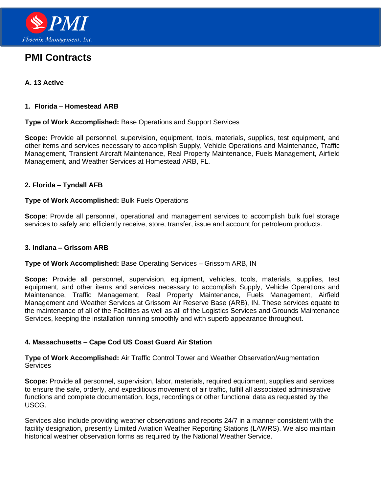

# **PMI Contracts**

# **A. 13 Active**

#### **1. Florida – Homestead ARB**

#### **Type of Work Accomplished:** Base Operations and Support Services

**Scope:** Provide all personnel, supervision, equipment, tools, materials, supplies, test equipment, and other items and services necessary to accomplish Supply, Vehicle Operations and Maintenance, Traffic Management, Transient Aircraft Maintenance, Real Property Maintenance, Fuels Management, Airfield Management, and Weather Services at Homestead ARB, FL.

#### **2. Florida – Tyndall AFB**

#### **Type of Work Accomplished:** Bulk Fuels Operations

**Scope**: Provide all personnel, operational and management services to accomplish bulk fuel storage services to safely and efficiently receive, store, transfer, issue and account for petroleum products.

#### **3. Indiana – Grissom ARB**

#### **Type of Work Accomplished:** Base Operating Services – Grissom ARB, IN

**Scope:** Provide all personnel, supervision, equipment, vehicles, tools, materials, supplies, test equipment, and other items and services necessary to accomplish Supply, Vehicle Operations and Maintenance, Traffic Management, Real Property Maintenance, Fuels Management, Airfield Management and Weather Services at Grissom Air Reserve Base (ARB), IN. These services equate to the maintenance of all of the Facilities as well as all of the Logistics Services and Grounds Maintenance Services, keeping the installation running smoothly and with superb appearance throughout.

## **4. Massachusetts – Cape Cod US Coast Guard Air Station**

**Type of Work Accomplished:** Air Traffic Control Tower and Weather Observation/Augmentation **Services** 

**Scope:** Provide all personnel, supervision, labor, materials, required equipment, supplies and services to ensure the safe, orderly, and expeditious movement of air traffic, fulfill all associated administrative functions and complete documentation, logs, recordings or other functional data as requested by the USCG.

Services also include providing weather observations and reports 24/7 in a manner consistent with the facility designation, presently Limited Aviation Weather Reporting Stations (LAWRS). We also maintain historical weather observation forms as required by the National Weather Service.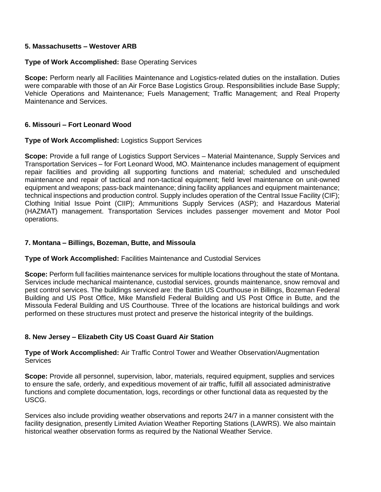## **5. Massachusetts – Westover ARB**

## **Type of Work Accomplished:** Base Operating Services

**Scope:** Perform nearly all Facilities Maintenance and Logistics-related duties on the installation. Duties were comparable with those of an Air Force Base Logistics Group. Responsibilities include Base Supply; Vehicle Operations and Maintenance; Fuels Management; Traffic Management; and Real Property Maintenance and Services.

## **6. Missouri – Fort Leonard Wood**

#### **Type of Work Accomplished:** Logistics Support Services

**Scope:** Provide a full range of Logistics Support Services – Material Maintenance, Supply Services and Transportation Services – for Fort Leonard Wood, MO. Maintenance includes management of equipment repair facilities and providing all supporting functions and material; scheduled and unscheduled maintenance and repair of tactical and non-tactical equipment; field level maintenance on unit-owned equipment and weapons; pass-back maintenance; dining facility appliances and equipment maintenance; technical inspections and production control. Supply includes operation of the Central Issue Facility (CIF); Clothing Initial Issue Point (CIIP); Ammunitions Supply Services (ASP); and Hazardous Material (HAZMAT) management. Transportation Services includes passenger movement and Motor Pool operations.

#### **7. Montana – Billings, Bozeman, Butte, and Missoula**

#### **Type of Work Accomplished:** Facilities Maintenance and Custodial Services

**Scope:** Perform full facilities maintenance services for multiple locations throughout the state of Montana. Services include mechanical maintenance, custodial services, grounds maintenance, snow removal and pest control services. The buildings serviced are: the Battin US Courthouse in Billings, Bozeman Federal Building and US Post Office, Mike Mansfield Federal Building and US Post Office in Butte, and the Missoula Federal Building and US Courthouse. Three of the locations are historical buildings and work performed on these structures must protect and preserve the historical integrity of the buildings.

## **8. New Jersey – Elizabeth City US Coast Guard Air Station**

**Type of Work Accomplished:** Air Traffic Control Tower and Weather Observation/Augmentation **Services** 

**Scope:** Provide all personnel, supervision, labor, materials, required equipment, supplies and services to ensure the safe, orderly, and expeditious movement of air traffic, fulfill all associated administrative functions and complete documentation, logs, recordings or other functional data as requested by the USCG.

Services also include providing weather observations and reports 24/7 in a manner consistent with the facility designation, presently Limited Aviation Weather Reporting Stations (LAWRS). We also maintain historical weather observation forms as required by the National Weather Service.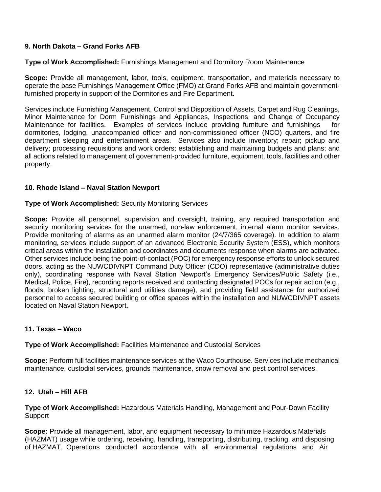# **9. North Dakota – Grand Forks AFB**

## **Type of Work Accomplished:** Furnishings Management and Dormitory Room Maintenance

**Scope:** Provide all management, labor, tools, equipment, transportation, and materials necessary to operate the base Furnishings Management Office (FMO) at Grand Forks AFB and maintain governmentfurnished property in support of the Dormitories and Fire Department.

Services include Furnishing Management, Control and Disposition of Assets, Carpet and Rug Cleanings, Minor Maintenance for Dorm Furnishings and Appliances, Inspections, and Change of Occupancy Maintenance for facilities. Examples of services include providing furniture and furnishings for dormitories, lodging, unaccompanied officer and non-commissioned officer (NCO) quarters, and fire department sleeping and entertainment areas. Services also include inventory; repair; pickup and delivery; processing requisitions and work orders; establishing and maintaining budgets and plans; and all actions related to management of government-provided furniture, equipment, tools, facilities and other property.

## **10. Rhode Island – Naval Station Newport**

#### **Type of Work Accomplished:** Security Monitoring Services

**Scope:** Provide all personnel, supervision and oversight, training, any required transportation and security monitoring services for the unarmed, non-law enforcement, internal alarm monitor services. Provide monitoring of alarms as an unarmed alarm monitor (24/7/365 coverage). In addition to alarm monitoring, services include support of an advanced Electronic Security System (ESS), which monitors critical areas within the installation and coordinates and documents response when alarms are activated. Other services include being the point-of-contact (POC) for emergency response efforts to unlock secured doors, acting as the NUWCDIVNPT Command Duty Officer (CDO) representative (administrative duties only), coordinating response with Naval Station Newport's Emergency Services/Public Safety (i.e., Medical, Police, Fire), recording reports received and contacting designated POCs for repair action (e.g., floods, broken lighting, structural and utilities damage), and providing field assistance for authorized personnel to access secured building or office spaces within the installation and NUWCDIVNPT assets located on Naval Station Newport.

## **11. Texas – Waco**

**Type of Work Accomplished:** Facilities Maintenance and Custodial Services

**Scope:** Perform full facilities maintenance services at the Waco Courthouse. Services include mechanical maintenance, custodial services, grounds maintenance, snow removal and pest control services.

## **12. Utah – Hill AFB**

**Type of Work Accomplished:** Hazardous Materials Handling, Management and Pour-Down Facility **Support** 

**Scope:** Provide all management, labor, and equipment necessary to minimize Hazardous Materials (HAZMAT) usage while ordering, receiving, handling, transporting, distributing, tracking, and disposing of HAZMAT. Operations conducted accordance with all environmental regulations and Air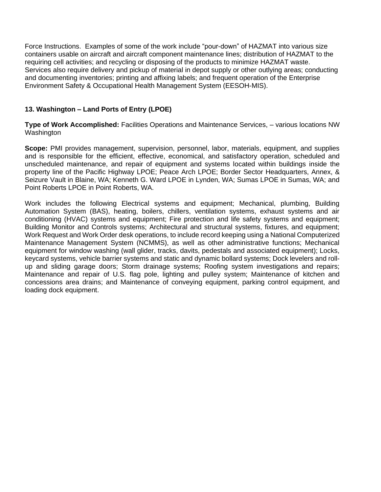Force Instructions. Examples of some of the work include "pour-down" of HAZMAT into various size containers usable on aircraft and aircraft component maintenance lines; distribution of HAZMAT to the requiring cell activities; and recycling or disposing of the products to minimize HAZMAT waste. Services also require delivery and pickup of material in depot supply or other outlying areas; conducting and documenting inventories; printing and affixing labels; and frequent operation of the Enterprise Environment Safety & Occupational Health Management System (EESOH-MIS).

# **13. Washington – Land Ports of Entry (LPOE)**

**Type of Work Accomplished:** Facilities Operations and Maintenance Services, – various locations NW Washington

**Scope:** PMI provides management, supervision, personnel, labor, materials, equipment, and supplies and is responsible for the efficient, effective, economical, and satisfactory operation, scheduled and unscheduled maintenance, and repair of equipment and systems located within buildings inside the property line of the Pacific Highway LPOE; Peace Arch LPOE; Border Sector Headquarters, Annex, & Seizure Vault in Blaine, WA; Kenneth G. Ward LPOE in Lynden, WA; Sumas LPOE in Sumas, WA; and Point Roberts LPOE in Point Roberts, WA.

Work includes the following Electrical systems and equipment; Mechanical, plumbing, Building Automation System (BAS), heating, boilers, chillers, ventilation systems, exhaust systems and air conditioning (HVAC) systems and equipment; Fire protection and life safety systems and equipment; Building Monitor and Controls systems; Architectural and structural systems, fixtures, and equipment; Work Request and Work Order desk operations, to include record keeping using a National Computerized Maintenance Management System (NCMMS), as well as other administrative functions; Mechanical equipment for window washing (wall glider, tracks, davits, pedestals and associated equipment); Locks, keycard systems, vehicle barrier systems and static and dynamic bollard systems; Dock levelers and rollup and sliding garage doors; Storm drainage systems; Roofing system investigations and repairs; Maintenance and repair of U.S. flag pole, lighting and pulley system; Maintenance of kitchen and concessions area drains; and Maintenance of conveying equipment, parking control equipment, and loading dock equipment.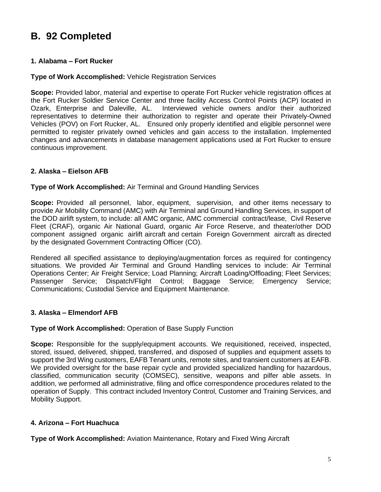# **B. 92 Completed**

# **1. Alabama – Fort Rucker**

## **Type of Work Accomplished:** Vehicle Registration Services

**Scope:** Provided labor, material and expertise to operate Fort Rucker vehicle registration offices at the Fort Rucker Soldier Service Center and three facility Access Control Points (ACP) located in Ozark, Enterprise and Daleville, AL. Interviewed vehicle owners and/or their authorized representatives to determine their authorization to register and operate their Privately-Owned Vehicles (POV) on Fort Rucker, AL. Ensured only properly identified and eligible personnel were permitted to register privately owned vehicles and gain access to the installation. Implemented changes and advancements in database management applications used at Fort Rucker to ensure continuous improvement.

## **2. Alaska – Eielson AFB**

#### **Type of Work Accomplished:** Air Terminal and Ground Handling Services

**Scope:** Provided all personnel, labor, equipment, supervision, and other items necessary to provide Air Mobility Command (AMC) with Air Terminal and Ground Handling Services, in support of the DOD airlift system, to include: all AMC organic, AMC commercial contract/lease, Civil Reserve Fleet (CRAF), organic Air National Guard, organic Air Force Reserve, and theater/other DOD component assigned organic airlift aircraft and certain Foreign Government aircraft as directed by the designated Government Contracting Officer (CO).

Rendered all specified assistance to deploying/augmentation forces as required for contingency situations. We provided Air Terminal and Ground Handling services to include: Air Terminal Operations Center; Air Freight Service; Load Planning; Aircraft Loading/Offloading; Fleet Services; Passenger Service; Dispatch/Flight Control; Baggage Service; Emergency Service; Communications; Custodial Service and Equipment Maintenance.

## **3. Alaska – Elmendorf AFB**

## **Type of Work Accomplished:** Operation of Base Supply Function

**Scope:** Responsible for the supply/equipment accounts. We requisitioned, received, inspected, stored, issued, delivered, shipped, transferred, and disposed of supplies and equipment assets to support the 3rd Wing customers, EAFB Tenant units, remote sites, and transient customers at EAFB. We provided oversight for the base repair cycle and provided specialized handling for hazardous, classified, communication security (COMSEC), sensitive, weapons and pilfer able assets. In addition, we performed all administrative, filing and office correspondence procedures related to the operation of Supply. This contract included Inventory Control, Customer and Training Services, and Mobility Support.

## **4. Arizona – Fort Huachuca**

**Type of Work Accomplished:** Aviation Maintenance, Rotary and Fixed Wing Aircraft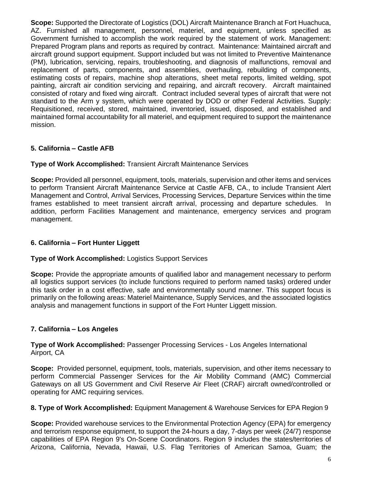**Scope:** Supported the Directorate of Logistics (DOL) Aircraft Maintenance Branch at Fort Huachuca, AZ. Furnished all management, personnel, materiel, and equipment, unless specified as Government furnished to accomplish the work required by the statement of work. Management: Prepared Program plans and reports as required by contract. Maintenance: Maintained aircraft and aircraft ground support equipment. Support included but was not limited to Preventive Maintenance (PM), lubrication, servicing, repairs, troubleshooting, and diagnosis of malfunctions, removal and replacement of parts, components, and assemblies, overhauling, rebuilding of components, estimating costs of repairs, machine shop alterations, sheet metal reports, limited welding, spot painting, aircraft air condition servicing and repairing, and aircraft recovery. Aircraft maintained consisted of rotary and fixed wing aircraft. Contract included several types of aircraft that were not standard to the Arm y system, which were operated by DOD or other Federal Activities. Supply: Requisitioned, received, stored, maintained, inventoried, issued, disposed, and established and maintained formal accountability for all materiel, and equipment required to support the maintenance mission.

# **5. California – Castle AFB**

## **Type of Work Accomplished:** Transient Aircraft Maintenance Services

**Scope:** Provided all personnel, equipment, tools, materials, supervision and other items and services to perform Transient Aircraft Maintenance Service at Castle AFB, CA., to include Transient Alert Management and Control, Arrival Services, Processing Services, Departure Services within the time frames established to meet transient aircraft arrival, processing and departure schedules. In addition, perform Facilities Management and maintenance, emergency services and program management.

# **6. California – Fort Hunter Liggett**

## **Type of Work Accomplished:** Logistics Support Services

**Scope:** Provide the appropriate amounts of qualified labor and management necessary to perform all logistics support services (to include functions required to perform named tasks) ordered under this task order in a cost effective, safe and environmentally sound manner. This support focus is primarily on the following areas: Materiel Maintenance, Supply Services, and the associated logistics analysis and management functions in support of the Fort Hunter Liggett mission.

# **7. California – Los Angeles**

# **Type of Work Accomplished:** Passenger Processing Services - Los Angeles International Airport, CA

**Scope:** Provided personnel, equipment, tools, materials, supervision, and other items necessary to perform Commercial Passenger Services for the Air Mobility Command (AMC) Commercial Gateways on all US Government and Civil Reserve Air Fleet (CRAF) aircraft owned/controlled or operating for AMC requiring services.

# **8. Type of Work Accomplished:** Equipment Management & Warehouse Services for EPA Region 9

**Scope:** Provided warehouse services to the Environmental Protection Agency (EPA) for emergency and terrorism response equipment, to support the 24-hours a day, 7-days per week (24/7) response capabilities of EPA Region 9's On-Scene Coordinators. Region 9 includes the states/territories of Arizona, California, Nevada, Hawaii, U.S. Flag Territories of American Samoa, Guam; the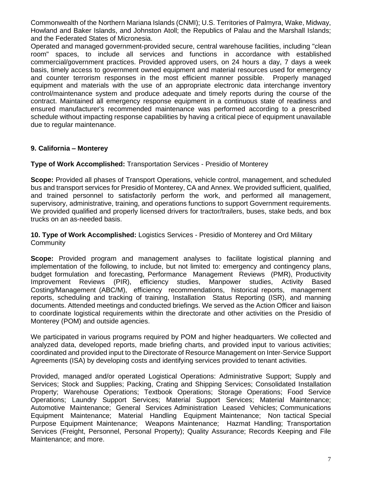Commonwealth of the Northern Mariana Islands (CNMI); U.S. Territories of Palmyra, Wake, Midway, Howland and Baker Islands, and Johnston Atoll; the Republics of Palau and the Marshall Islands; and the Federated States of Micronesia.

Operated and managed government-provided secure, central warehouse facilities, including "clean room" spaces, to include all services and functions in accordance with established commercial/government practices. Provided approved users, on 24 hours a day, 7 days a week basis, timely access to government owned equipment and material resources used for emergency and counter terrorism responses in the most efficient manner possible. Properly managed equipment and materials with the use of an appropriate electronic data interchange inventory control/maintenance system and produce adequate and timely reports during the course of the contract. Maintained all emergency response equipment in a continuous state of readiness and ensured manufacturer's recommended maintenance was performed according to a prescribed schedule without impacting response capabilities by having a critical piece of equipment unavailable due to regular maintenance.

## **9. California – Monterey**

**Type of Work Accomplished:** Transportation Services - Presidio of Monterey

**Scope:** Provided all phases of Transport Operations, vehicle control, management, and scheduled bus and transport services for Presidio of Monterey, CA and Annex. We provided sufficient, qualified, and trained personnel to satisfactorily perform the work, and performed all management, supervisory, administrative, training, and operations functions to support Government requirements. We provided qualified and properly licensed drivers for tractor/trailers, buses, stake beds, and box trucks on an as-needed basis.

**10. Type of Work Accomplished:** Logistics Services - Presidio of Monterey and Ord Military **Community** 

**Scope:** Provided program and management analyses to facilitate logistical planning and implementation of the following, to include, but not limited to: emergency and contingency plans, budget formulation and forecasting, Performance Management Reviews (PMR), Productivity Improvement Reviews (PIR), efficiency studies, Manpower studies, Activity Based Costing/Management (ABC/M), efficiency recommendations, historical reports, management reports, scheduling and tracking of training, Installation Status Reporting (ISR), and manning documents. Attended meetings and conducted briefings. We served as the Action Officer and liaison to coordinate logistical requirements within the directorate and other activities on the Presidio of Monterey (POM) and outside agencies.

We participated in various programs required by POM and higher headquarters. We collected and analyzed data, developed reports, made briefing charts, and provided input to various activities; coordinated and provided input to the Directorate of Resource Management on Inter-Service Support Agreements (ISA) by developing costs and identifying services provided to tenant activities.

Provided, managed and/or operated Logistical Operations: Administrative Support; Supply and Services; Stock and Supplies; Packing, Crating and Shipping Services; Consolidated Installation Property; Warehouse Operations; Textbook Operations; Storage Operations; Food Service Operations; Laundry Support Services; Material Support Services; Material Maintenance; Automotive Maintenance; General Services Administration Leased Vehicles; Communications Equipment Maintenance; Material Handling Equipment Maintenance; Non tactical Special Purpose Equipment Maintenance; Weapons Maintenance; Hazmat Handling; Transportation Services (Freight, Personnel, Personal Property); Quality Assurance; Records Keeping and File Maintenance; and more.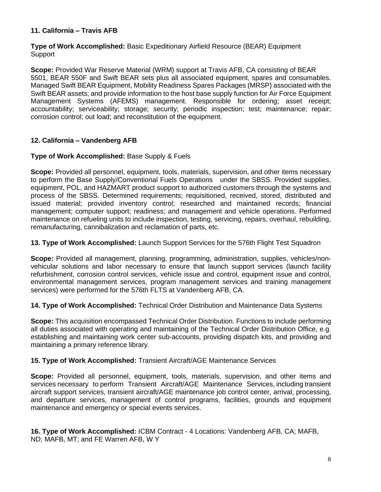# **11. California – Travis AFB**

**Type of Work Accomplished:** Basic Expeditionary Airfield Resource (BEAR) Equipment **Support** 

**Scope:** Provided War Reserve Material (WRM) support at Travis AFB, CA consisting of BEAR 5501, BEAR 550F and Swift BEAR sets plus all associated equipment, spares and consumables. Managed Swift BEAR Equipment, Mobility Readiness Spares Packages (MRSP) associated with the Swift BEAR assets; and provide information to the host base supply function for Air Force Equipment Management Systems (AFEMS) management. Responsible for ordering; asset receipt; accountability; serviceability; storage; security; periodic inspection; test; maintenance; repair; corrosion control; out load; and reconstitution of the equipment.

# **12. California – Vandenberg AFB**

## **Type of Work Accomplished:** Base Supply & Fuels

**Scope:** Provided all personnel, equipment, tools, materials, supervision, and other items necessary to perform the Base Supply/Conventional Fuels Operations under the SBSS. Provided supplies, equipment, POL, and HAZMART product support to authorized customers through the systems and process of the SBSS. Determined requirements; requisitioned, received, stored, distributed and issued material; provided inventory control; researched and maintained records; financial management; computer support; readiness; and management and vehicle operations. Performed maintenance on refueling units to include inspection, testing, servicing, repairs, overhaul, rebuilding, remanufacturing, cannibalization and reclamation of parts, etc.

## **13. Type of Work Accomplished:** Launch Support Services for the 576th Flight Test Squadron

**Scope:** Provided all management, planning, programming, administration, supplies, vehicles/nonvehicular solutions and labor necessary to ensure that launch support services (launch facility refurbishment, corrosion control services, vehicle issue and control, equipment issue and control, environmental management services, program management services and training management services) were performed for the 576th FLTS at Vandenberg AFB, CA.

## **14. Type of Work Accomplished:** Technical Order Distribution and Maintenance Data Systems

**Scope:** This acquisition encompassed Technical Order Distribution. Functions to include performing all duties associated with operating and maintaining of the Technical Order Distribution Office, e.g. establishing and maintaining work center sub-accounts, providing dispatch kits, and providing and maintaining a primary reference library.

## **15. Type of Work Accomplished:** Transient Aircraft/AGE Maintenance Services

**Scope:** Provided all personnel, equipment, tools, materials, supervision, and other items and services necessary to perform Transient Aircraft/AGE Maintenance Services, including transient aircraft support services, transient aircraft/AGE maintenance job control center, arrival, processing, and departure services, management of control programs, facilities, grounds and equipment maintenance and emergency or special events services.

**16. Type of Work Accomplished:** ICBM Contract - 4 Locations: Vandenberg AFB, CA; MAFB, ND; MAFB, MT; and FE Warren AFB, W Y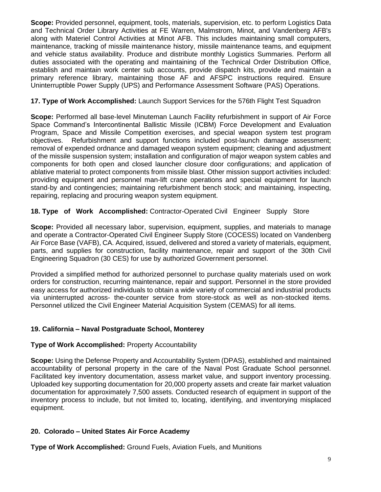**Scope:** Provided personnel, equipment, tools, materials, supervision, etc. to perform Logistics Data and Technical Order Library Activities at FE Warren, Malmstrom, Minot, and Vandenberg AFB's along with Materiel Control Activities at Minot AFB. This includes maintaining small computers, maintenance, tracking of missile maintenance history, missile maintenance teams, and equipment and vehicle status availability. Produce and distribute monthly Logistics Summaries. Perform all duties associated with the operating and maintaining of the Technical Order Distribution Office, establish and maintain work center sub accounts, provide dispatch kits, provide and maintain a primary reference library, maintaining those AF and AFSPC instructions required. Ensure Uninterruptible Power Supply (UPS) and Performance Assessment Software (PAS) Operations.

# **17. Type of Work Accomplished:** Launch Support Services for the 576th Flight Test Squadron

**Scope:** Performed all base-level Minuteman Launch Facility refurbishment in support of Air Force Space Command's Intercontinental Ballistic Missile (ICBM) Force Development and Evaluation Program, Space and Missile Competition exercises, and special weapon system test program objectives. Refurbishment and support functions included post-launch damage assessment; removal of expended ordnance and damaged weapon system equipment; cleaning and adjustment of the missile suspension system; installation and configuration of major weapon system cables and components for both open and closed launcher closure door configurations; and application of ablative material to protect components from missile blast. Other mission support activities included: providing equipment and personnel man-lift crane operations and special equipment for launch stand-by and contingencies; maintaining refurbishment bench stock; and maintaining, inspecting, repairing, replacing and procuring weapon system equipment.

# **18. Type of Work Accomplished:** Contractor-Operated Civil Engineer Supply Store

**Scope:** Provided all necessary labor, supervision, equipment, supplies, and materials to manage and operate a Contractor-Operated Civil Engineer Supply Store (COCESS) located on Vandenberg Air Force Base (VAFB), CA. Acquired, issued, delivered and stored a variety of materials, equipment, parts, and supplies for construction, facility maintenance, repair and support of the 30th Civil Engineering Squadron (30 CES) for use by authorized Government personnel.

Provided a simplified method for authorized personnel to purchase quality materials used on work orders for construction, recurring maintenance, repair and support. Personnel in the store provided easy access for authorized individuals to obtain a wide variety of commercial and industrial products via uninterrupted across- the-counter service from store-stock as well as non-stocked items. Personnel utilized the Civil Engineer Material Acquisition System (CEMAS) for all items.

## **19. California – Naval Postgraduate School, Monterey**

## **Type of Work Accomplished:** Property Accountability

**Scope:** Using the Defense Property and Accountability System (DPAS), established and maintained accountability of personal property in the care of the Naval Post Graduate School personnel. Facilitated key inventory documentation, assess market value, and support inventory processing. Uploaded key supporting documentation for 20,000 property assets and create fair market valuation documentation for approximately 7,500 assets. Conducted research of equipment in support of the inventory process to include, but not limited to, locating, identifying, and inventorying misplaced equipment.

## **20. Colorado – United States Air Force Academy**

**Type of Work Accomplished:** Ground Fuels, Aviation Fuels, and Munitions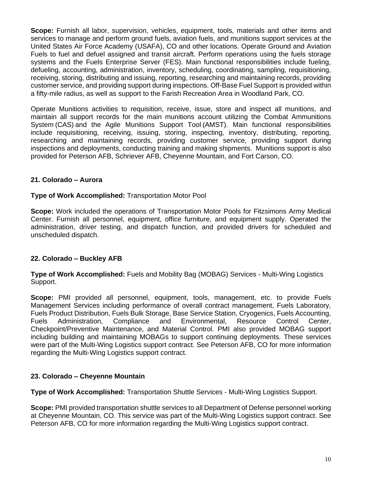**Scope:** Furnish all labor, supervision, vehicles, equipment, tools, materials and other items and services to manage and perform ground fuels, aviation fuels, and munitions support services at the United States Air Force Academy (USAFA), CO and other locations. Operate Ground and Aviation Fuels to fuel and defuel assigned and transit aircraft. Perform operations using the fuels storage systems and the Fuels Enterprise Server (FES). Main functional responsibilities include fueling, defueling, accounting, administration, inventory, scheduling, coordinating, sampling, requisitioning, receiving, storing, distributing and issuing, reporting, researching and maintaining records, providing customer service, and providing support during inspections. Off-Base Fuel Support is provided within a fifty-mile radius, as well as support to the Farish Recreation Area in Woodland Park, CO.

Operate Munitions activities to requisition, receive, issue, store and inspect all munitions, and maintain all support records for the main munitions account utilizing the Combat Ammunitions System (CAS) and the Agile Munitions Support Tool (AMST). Main functional responsibilities include requisitioning, receiving, issuing, storing, inspecting, inventory, distributing, reporting, researching and maintaining records, providing customer service, providing support during inspections and deployments, conducting training and making shipments. Munitions support is also provided for Peterson AFB, Schriever AFB, Cheyenne Mountain, and Fort Carson, CO.

## **21. Colorado – Aurora**

#### **Type of Work Accomplished:** Transportation Motor Pool

**Scope:** Work included the operations of Transportation Motor Pools for Fitzsimons Army Medical Center. Furnish all personnel, equipment, office furniture, and equipment supply. Operated the administration, driver testing, and dispatch function, and provided drivers for scheduled and unscheduled dispatch.

## **22. Colorado – Buckley AFB**

**Type of Work Accomplished:** Fuels and Mobility Bag (MOBAG) Services - Multi-Wing Logistics Support.

**Scope:** PMI provided all personnel, equipment, tools, management, etc. to provide Fuels Management Services including performance of overall contract management, Fuels Laboratory, Fuels Product Distribution, Fuels Bulk Storage, Base Service Station, Cryogenics, Fuels Accounting, Fuels Administration, Compliance and Environmental, Resource Control Center, Checkpoint/Preventive Maintenance, and Material Control. PMI also provided MOBAG support including building and maintaining MOBAGs to support continuing deployments. These services were part of the Multi-Wing Logistics support contract. See Peterson AFB, CO for more information regarding the Multi-Wing Logistics support contract.

#### **23. Colorado – Cheyenne Mountain**

**Type of Work Accomplished:** Transportation Shuttle Services - Multi-Wing Logistics Support.

**Scope:** PMI provided transportation shuttle services to all Department of Defense personnel working at Cheyenne Mountain, CO. This service was part of the Multi-Wing Logistics support contract. See Peterson AFB, CO for more information regarding the Multi-Wing Logistics support contract.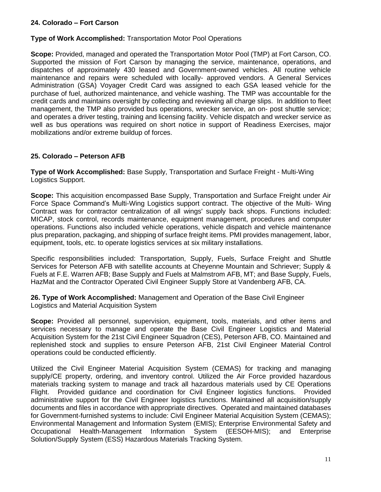## **24. Colorado – Fort Carson**

## **Type of Work Accomplished:** Transportation Motor Pool Operations

**Scope:** Provided, managed and operated the Transportation Motor Pool (TMP) at Fort Carson, CO. Supported the mission of Fort Carson by managing the service, maintenance, operations, and dispatches of approximately 430 leased and Government-owned vehicles. All routine vehicle maintenance and repairs were scheduled with locally- approved vendors. A General Services Administration (GSA) Voyager Credit Card was assigned to each GSA leased vehicle for the purchase of fuel, authorized maintenance, and vehicle washing. The TMP was accountable for the credit cards and maintains oversight by collecting and reviewing all charge slips. In addition to fleet management, the TMP also provided bus operations, wrecker service, an on- post shuttle service; and operates a driver testing, training and licensing facility. Vehicle dispatch and wrecker service as well as bus operations was required on short notice in support of Readiness Exercises, major mobilizations and/or extreme buildup of forces.

## **25. Colorado – Peterson AFB**

**Type of Work Accomplished:** Base Supply, Transportation and Surface Freight - Multi-Wing Logistics Support.

**Scope:** This acquisition encompassed Base Supply, Transportation and Surface Freight under Air Force Space Command's Multi-Wing Logistics support contract. The objective of the Multi- Wing Contract was for contractor centralization of all wings' supply back shops. Functions included: MICAP, stock control, records maintenance, equipment management, procedures and computer operations. Functions also included vehicle operations, vehicle dispatch and vehicle maintenance plus preparation, packaging, and shipping of surface freight items. PMI provides management, labor, equipment, tools, etc. to operate logistics services at six military installations.

Specific responsibilities included: Transportation, Supply, Fuels, Surface Freight and Shuttle Services for Peterson AFB with satellite accounts at Cheyenne Mountain and Schriever; Supply & Fuels at F.E. Warren AFB; Base Supply and Fuels at Malmstrom AFB, MT; and Base Supply, Fuels, HazMat and the Contractor Operated Civil Engineer Supply Store at Vandenberg AFB, CA.

**26. Type of Work Accomplished:** Management and Operation of the Base Civil Engineer Logistics and Material Acquisition System

**Scope:** Provided all personnel, supervision, equipment, tools, materials, and other items and services necessary to manage and operate the Base Civil Engineer Logistics and Material Acquisition System for the 21st Civil Engineer Squadron (CES), Peterson AFB, CO. Maintained and replenished stock and supplies to ensure Peterson AFB, 21st Civil Engineer Material Control operations could be conducted efficiently.

Utilized the Civil Engineer Material Acquisition System (CEMAS) for tracking and managing supply/CE property, ordering, and inventory control. Utilized the Air Force provided hazardous materials tracking system to manage and track all hazardous materials used by CE Operations Flight. Provided guidance and coordination for Civil Engineer logistics functions. Provided administrative support for the Civil Engineer logistics functions. Maintained all acquisition/supply documents and files in accordance with appropriate directives. Operated and maintained databases for Government-furnished systems to include: Civil Engineer Material Acquisition System (CEMAS); Environmental Management and Information System (EMIS); Enterprise Environmental Safety and Occupational Health-Management Information System (EESOH-MIS); and Enterprise Solution/Supply System (ESS) Hazardous Materials Tracking System.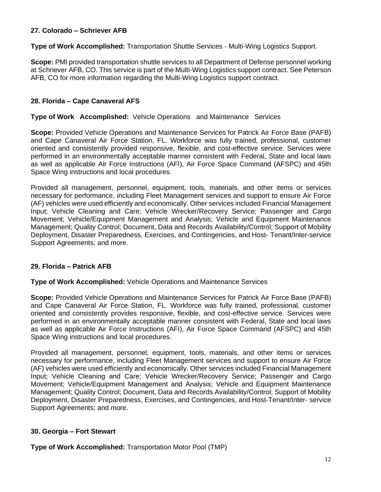## **27. Colorado – Schriever AFB**

**Type of Work Accomplished:** Transportation Shuttle Services - Multi-Wing Logistics Support.

**Scope:** PMI provided transportation shuttle services to all Department of Defense personnel working at Schriever AFB, CO. This service is part of the Multi-Wing Logistics support contract. See Peterson AFB, CO for more information regarding the Multi-Wing Logistics support contract.

# **28. Florida – Cape Canaveral AFS**

#### **Type of Work Accomplished:** Vehicle Operations and Maintenance Services

**Scope:** Provided Vehicle Operations and Maintenance Services for Patrick Air Force Base (PAFB) and Cape Canaveral Air Force Station, FL. Workforce was fully trained, professional, customer oriented and consistently provided responsive, flexible, and cost-effective service. Services were performed in an environmentally acceptable manner consistent with Federal, State and local laws as well as applicable Air Force Instructions (AFI), Air Force Space Command (AFSPC) and 45th Space Wing instructions and local procedures.

Provided all management, personnel, equipment, tools, materials, and other items or services necessary for performance, including Fleet Management services and support to ensure Air Force (AF) vehicles were used efficiently and economically. Other services included Financial Management Input; Vehicle Cleaning and Care; Vehicle Wrecker/Recovery Service; Passenger and Cargo Movement; Vehicle/Equipment Management and Analysis; Vehicle and Equipment Maintenance Management; Quality Control; Document, Data and Records Availability/Control; Support of Mobility Deployment, Disaster Preparedness, Exercises, and Contingencies, and Host- Tenant/Inter-service Support Agreements; and more.

## **29. Florida – Patrick AFB**

#### **Type of Work Accomplished:** Vehicle Operations and Maintenance Services

**Scope:** Provided Vehicle Operations and Maintenance Services for Patrick Air Force Base (PAFB) and Cape Canaveral Air Force Station, FL. Workforce was fully trained, professional, customer oriented and consistently provides responsive, flexible, and cost-effective service. Services were performed in an environmentally acceptable manner consistent with Federal, State and local laws as well as applicable Air Force Instructions (AFI), Air Force Space Command (AFSPC) and 45th Space Wing instructions and local procedures.

Provided all management, personnel, equipment, tools, materials, and other items or services necessary for performance, including Fleet Management services and support to ensure Air Force (AF) vehicles were used efficiently and economically. Other services included Financial Management Input; Vehicle Cleaning and Care; Vehicle Wrecker/Recovery Service; Passenger and Cargo Movement; Vehicle/Equipment Management and Analysis; Vehicle and Equipment Maintenance Management; Quality Control; Document, Data and Records Availability/Control; Support of Mobility Deployment, Disaster Preparedness, Exercises, and Contingencies, and Host-Tenant/Inter- service Support Agreements; and more.

## **30. Georgia – Fort Stewart**

**Type of Work Accomplished:** Transportation Motor Pool (TMP)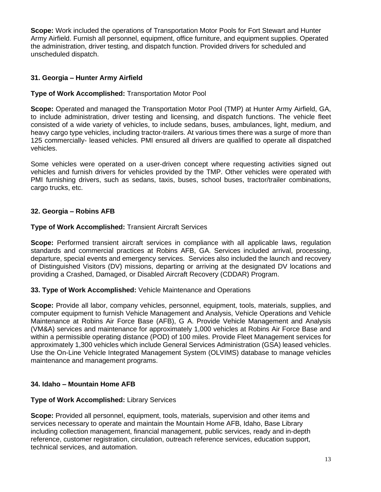**Scope:** Work included the operations of Transportation Motor Pools for Fort Stewart and Hunter Army Airfield. Furnish all personnel, equipment, office furniture, and equipment supplies. Operated the administration, driver testing, and dispatch function. Provided drivers for scheduled and unscheduled dispatch.

# **31. Georgia – Hunter Army Airfield**

## **Type of Work Accomplished:** Transportation Motor Pool

**Scope:** Operated and managed the Transportation Motor Pool (TMP) at Hunter Army Airfield, GA, to include administration, driver testing and licensing, and dispatch functions. The vehicle fleet consisted of a wide variety of vehicles, to include sedans, buses, ambulances, light, medium, and heavy cargo type vehicles, including tractor-trailers. At various times there was a surge of more than 125 commercially- leased vehicles. PMI ensured all drivers are qualified to operate all dispatched vehicles.

Some vehicles were operated on a user-driven concept where requesting activities signed out vehicles and furnish drivers for vehicles provided by the TMP. Other vehicles were operated with PMI furnishing drivers, such as sedans, taxis, buses, school buses, tractor/trailer combinations, cargo trucks, etc.

# **32. Georgia – Robins AFB**

## **Type of Work Accomplished:** Transient Aircraft Services

**Scope:** Performed transient aircraft services in compliance with all applicable laws, regulation standards and commercial practices at Robins AFB, GA. Services included arrival, processing, departure, special events and emergency services. Services also included the launch and recovery of Distinguished Visitors (DV) missions, departing or arriving at the designated DV locations and providing a Crashed, Damaged, or Disabled Aircraft Recovery (CDDAR) Program.

## **33. Type of Work Accomplished:** Vehicle Maintenance and Operations

**Scope:** Provide all labor, company vehicles, personnel, equipment, tools, materials, supplies, and computer equipment to furnish Vehicle Management and Analysis, Vehicle Operations and Vehicle Maintenance at Robins Air Force Base (AFB), G A. Provide Vehicle Management and Analysis (VM&A) services and maintenance for approximately 1,000 vehicles at Robins Air Force Base and within a permissible operating distance (POD) of 100 miles. Provide Fleet Management services for approximately 1,300 vehicles which include General Services Administration (GSA) leased vehicles. Use the On-Line Vehicle Integrated Management System (OLVIMS) database to manage vehicles maintenance and management programs.

## **34. Idaho – Mountain Home AFB**

## **Type of Work Accomplished:** Library Services

**Scope:** Provided all personnel, equipment, tools, materials, supervision and other items and services necessary to operate and maintain the Mountain Home AFB, Idaho, Base Library including collection management, financial management, public services, ready and in-depth reference, customer registration, circulation, outreach reference services, education support, technical services, and automation.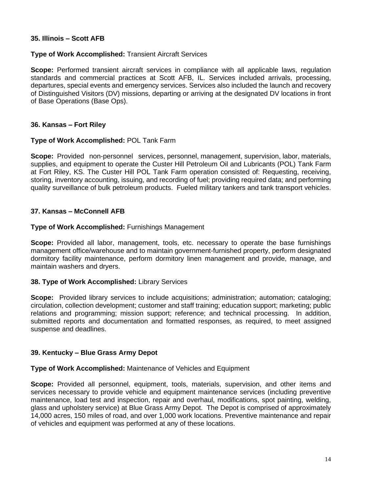## **35. Illinois – Scott AFB**

## **Type of Work Accomplished:** Transient Aircraft Services

**Scope:** Performed transient aircraft services in compliance with all applicable laws, regulation standards and commercial practices at Scott AFB, IL. Services included arrivals, processing, departures, special events and emergency services. Services also included the launch and recovery of Distinguished Visitors (DV) missions, departing or arriving at the designated DV locations in front of Base Operations (Base Ops).

## **36. Kansas – Fort Riley**

## **Type of Work Accomplished:** POL Tank Farm

**Scope:** Provided non-personnel services, personnel, management, supervision, labor, materials, supplies, and equipment to operate the Custer Hill Petroleum Oil and Lubricants (POL) Tank Farm at Fort Riley, KS. The Custer Hill POL Tank Farm operation consisted of: Requesting, receiving, storing, inventory accounting, issuing, and recording of fuel; providing required data; and performing quality surveillance of bulk petroleum products. Fueled military tankers and tank transport vehicles.

# **37. Kansas – McConnell AFB**

## **Type of Work Accomplished:** Furnishings Management

**Scope:** Provided all labor, management, tools, etc. necessary to operate the base furnishings management office/warehouse and to maintain government-furnished property, perform designated dormitory facility maintenance, perform dormitory linen management and provide, manage, and maintain washers and dryers.

## **38. Type of Work Accomplished:** Library Services

**Scope:** Provided library services to include acquisitions; administration; automation; cataloging; circulation, collection development; customer and staff training; education support; marketing; public relations and programming; mission support; reference; and technical processing. In addition, submitted reports and documentation and formatted responses, as required, to meet assigned suspense and deadlines.

## **39. Kentucky – Blue Grass Army Depot**

# **Type of Work Accomplished:** Maintenance of Vehicles and Equipment

**Scope:** Provided all personnel, equipment, tools, materials, supervision, and other items and services necessary to provide vehicle and equipment maintenance services (including preventive maintenance, load test and inspection, repair and overhaul, modifications, spot painting, welding, glass and upholstery service) at Blue Grass Army Depot. The Depot is comprised of approximately 14,000 acres, 150 miles of road, and over 1,000 work locations. Preventive maintenance and repair of vehicles and equipment was performed at any of these locations.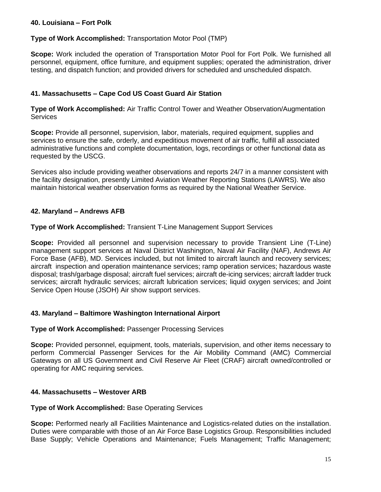# **40. Louisiana – Fort Polk**

## **Type of Work Accomplished:** Transportation Motor Pool (TMP)

**Scope:** Work included the operation of Transportation Motor Pool for Fort Polk. We furnished all personnel, equipment, office furniture, and equipment supplies; operated the administration, driver testing, and dispatch function; and provided drivers for scheduled and unscheduled dispatch.

# **41. Massachusetts – Cape Cod US Coast Guard Air Station**

**Type of Work Accomplished:** Air Traffic Control Tower and Weather Observation/Augmentation **Services** 

**Scope:** Provide all personnel, supervision, labor, materials, required equipment, supplies and services to ensure the safe, orderly, and expeditious movement of air traffic, fulfill all associated administrative functions and complete documentation, logs, recordings or other functional data as requested by the USCG.

Services also include providing weather observations and reports 24/7 in a manner consistent with the facility designation, presently Limited Aviation Weather Reporting Stations (LAWRS). We also maintain historical weather observation forms as required by the National Weather Service.

# **42. Maryland – Andrews AFB**

## **Type of Work Accomplished:** Transient T-Line Management Support Services

**Scope:** Provided all personnel and supervision necessary to provide Transient Line (T-Line) management support services at Naval District Washington, Naval Air Facility (NAF), Andrews Air Force Base (AFB), MD. Services included, but not limited to aircraft launch and recovery services; aircraft inspection and operation maintenance services; ramp operation services; hazardous waste disposal; trash/garbage disposal; aircraft fuel services; aircraft de-icing services; aircraft ladder truck services; aircraft hydraulic services; aircraft lubrication services; liquid oxygen services; and Joint Service Open House (JSOH) Air show support services.

## **43. Maryland – Baltimore Washington International Airport**

## **Type of Work Accomplished:** Passenger Processing Services

**Scope:** Provided personnel, equipment, tools, materials, supervision, and other items necessary to perform Commercial Passenger Services for the Air Mobility Command (AMC) Commercial Gateways on all US Government and Civil Reserve Air Fleet (CRAF) aircraft owned/controlled or operating for AMC requiring services.

## **44. Massachusetts – Westover ARB**

## **Type of Work Accomplished:** Base Operating Services

**Scope:** Performed nearly all Facilities Maintenance and Logistics-related duties on the installation. Duties were comparable with those of an Air Force Base Logistics Group. Responsibilities included Base Supply; Vehicle Operations and Maintenance; Fuels Management; Traffic Management;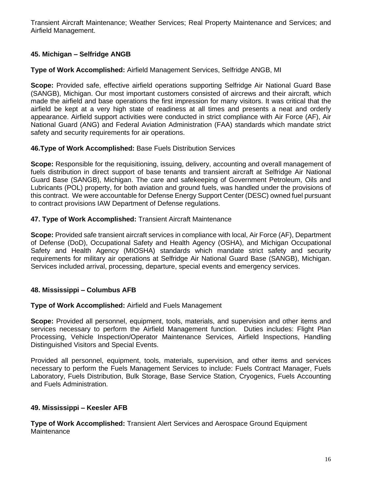Transient Aircraft Maintenance; Weather Services; Real Property Maintenance and Services; and Airfield Management.

# **45. Michigan – Selfridge ANGB**

#### **Type of Work Accomplished:** Airfield Management Services, Selfridge ANGB, MI

**Scope:** Provided safe, effective airfield operations supporting Selfridge Air National Guard Base (SANGB), Michigan. Our most important customers consisted of aircrews and their aircraft, which made the airfield and base operations the first impression for many visitors. It was critical that the airfield be kept at a very high state of readiness at all times and presents a neat and orderly appearance. Airfield support activities were conducted in strict compliance with Air Force (AF), Air National Guard (ANG) and Federal Aviation Administration (FAA) standards which mandate strict safety and security requirements for air operations.

#### **46.Type of Work Accomplished:** Base Fuels Distribution Services

**Scope:** Responsible for the requisitioning, issuing, delivery, accounting and overall management of fuels distribution in direct support of base tenants and transient aircraft at Selfridge Air National Guard Base (SANGB), Michigan. The care and safekeeping of Government Petroleum, Oils and Lubricants (POL) property, for both aviation and ground fuels, was handled under the provisions of this contract. We were accountable for Defense Energy Support Center (DESC) owned fuel pursuant to contract provisions IAW Department of Defense regulations.

#### **47. Type of Work Accomplished:** Transient Aircraft Maintenance

**Scope:** Provided safe transient aircraft services in compliance with local, Air Force (AF), Department of Defense (DoD), Occupational Safety and Health Agency (OSHA), and Michigan Occupational Safety and Health Agency (MIOSHA) standards which mandate strict safety and security requirements for military air operations at Selfridge Air National Guard Base (SANGB), Michigan. Services included arrival, processing, departure, special events and emergency services.

## **48. Mississippi – Columbus AFB**

#### **Type of Work Accomplished:** Airfield and Fuels Management

**Scope:** Provided all personnel, equipment, tools, materials, and supervision and other items and services necessary to perform the Airfield Management function. Duties includes: Flight Plan Processing, Vehicle Inspection/Operator Maintenance Services, Airfield Inspections, Handling Distinguished Visitors and Special Events.

Provided all personnel, equipment, tools, materials, supervision, and other items and services necessary to perform the Fuels Management Services to include: Fuels Contract Manager, Fuels Laboratory, Fuels Distribution, Bulk Storage, Base Service Station, Cryogenics, Fuels Accounting and Fuels Administration.

#### **49. Mississippi – Keesler AFB**

**Type of Work Accomplished:** Transient Alert Services and Aerospace Ground Equipment **Maintenance**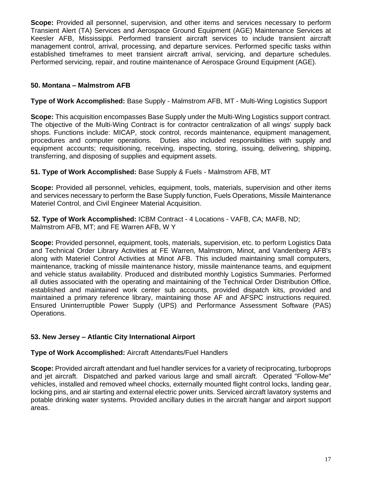**Scope:** Provided all personnel, supervision, and other items and services necessary to perform Transient Alert (TA) Services and Aerospace Ground Equipment (AGE) Maintenance Services at Keesler AFB, Mississippi. Performed transient aircraft services to include transient aircraft management control, arrival, processing, and departure services. Performed specific tasks within established timeframes to meet transient aircraft arrival, servicing, and departure schedules. Performed servicing, repair, and routine maintenance of Aerospace Ground Equipment (AGE).

# **50. Montana – Malmstrom AFB**

# **Type of Work Accomplished:** Base Supply - Malmstrom AFB, MT - Multi-Wing Logistics Support

**Scope:** This acquisition encompasses Base Supply under the Multi-Wing Logistics support contract. The objective of the Multi-Wing Contract is for contractor centralization of all wings' supply back shops. Functions include: MICAP, stock control, records maintenance, equipment management, procedures and computer operations. Duties also included responsibilities with supply and equipment accounts; requisitioning, receiving, inspecting, storing, issuing, delivering, shipping, transferring, and disposing of supplies and equipment assets.

## **51. Type of Work Accomplished:** Base Supply & Fuels - Malmstrom AFB, MT

**Scope:** Provided all personnel, vehicles, equipment, tools, materials, supervision and other items and services necessary to perform the Base Supply function, Fuels Operations, Missile Maintenance Materiel Control, and Civil Engineer Material Acquisition.

**52. Type of Work Accomplished:** ICBM Contract - 4 Locations - VAFB, CA; MAFB, ND; Malmstrom AFB, MT; and FE Warren AFB, W Y

**Scope:** Provided personnel, equipment, tools, materials, supervision, etc. to perform Logistics Data and Technical Order Library Activities at FE Warren, Malmstrom, Minot, and Vandenberg AFB's along with Materiel Control Activities at Minot AFB. This included maintaining small computers, maintenance, tracking of missile maintenance history, missile maintenance teams, and equipment and vehicle status availability. Produced and distributed monthly Logistics Summaries. Performed all duties associated with the operating and maintaining of the Technical Order Distribution Office, established and maintained work center sub accounts, provided dispatch kits, provided and maintained a primary reference library, maintaining those AF and AFSPC instructions required. Ensured Uninterruptible Power Supply (UPS) and Performance Assessment Software (PAS) Operations.

## **53. New Jersey – Atlantic City International Airport**

#### **Type of Work Accomplished:** Aircraft Attendants/Fuel Handlers

**Scope:** Provided aircraft attendant and fuel handler services for a variety of reciprocating, turboprops and jet aircraft. Dispatched and parked various large and small aircraft. Operated "Follow-Me" vehicles, installed and removed wheel chocks, externally mounted flight control locks, landing gear, locking pins, and air starting and external electric power units. Serviced aircraft lavatory systems and potable drinking water systems. Provided ancillary duties in the aircraft hangar and airport support areas.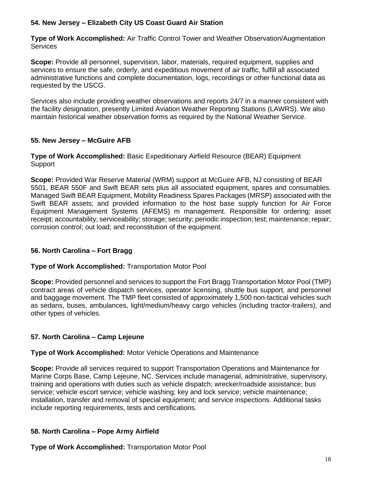# **54. New Jersey – Elizabeth City US Coast Guard Air Station**

**Type of Work Accomplished:** Air Traffic Control Tower and Weather Observation/Augmentation **Services** 

**Scope:** Provide all personnel, supervision, labor, materials, required equipment, supplies and services to ensure the safe, orderly, and expeditious movement of air traffic, fulfill all associated administrative functions and complete documentation, logs, recordings or other functional data as requested by the USCG.

Services also include providing weather observations and reports 24/7 in a manner consistent with the facility designation, presently Limited Aviation Weather Reporting Stations (LAWRS). We also maintain historical weather observation forms as required by the National Weather Service.

# **55. New Jersey – McGuire AFB**

**Type of Work Accomplished:** Basic Expeditionary Airfield Resource (BEAR) Equipment Support

**Scope:** Provided War Reserve Material (WRM) support at McGuire AFB, NJ consisting of BEAR 5501, BEAR 550F and Swift BEAR sets plus all associated equipment, spares and consumables. Managed Swift BEAR Equipment, Mobility Readiness Spares Packages (MRSP) associated with the Swift BEAR assets; and provided information to the host base supply function for Air Force Equipment Management Systems (AFEMS) m management. Responsible for ordering; asset receipt; accountability; serviceability; storage; security; periodic inspection; test; maintenance; repair; corrosion control; out load; and reconstitution of the equipment.

# **56. North Carolina – Fort Bragg**

# **Type of Work Accomplished:** Transportation Motor Pool

**Scope:** Provided personnel and services to support the Fort Bragg Transportation Motor Pool (TMP) contract areas of vehicle dispatch services, operator licensing, shuttle bus support, and personnel and baggage movement. The TMP fleet consisted of approximately 1,500 non-tactical vehicles such as sedans, buses, ambulances, light/medium/heavy cargo vehicles (including tractor-trailers), and other types of vehicles.

# **57. North Carolina – Camp Lejeune**

## **Type of Work Accomplished:** Motor Vehicle Operations and Maintenance

**Scope:** Provide all services required to support Transportation Operations and Maintenance for Marine Corps Base, Camp Lejeune, NC. Services include managerial, administrative, supervisory, training and operations with duties such as vehicle dispatch; wrecker/roadside assistance; bus service; vehicle escort service; vehicle washing; key and lock service; vehicle maintenance; installation, transfer and removal of special equipment; and service inspections. Additional tasks include reporting requirements, tests and certifications.

# **58. North Carolina – Pope Army Airfield**

**Type of Work Accomplished:** Transportation Motor Pool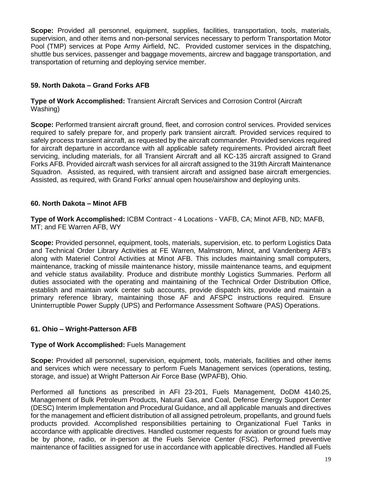**Scope:** Provided all personnel, equipment, supplies, facilities, transportation, tools, materials, supervision, and other items and non-personal services necessary to perform Transportation Motor Pool (TMP) services at Pope Army Airfield, NC. Provided customer services in the dispatching, shuttle bus services, passenger and baggage movements, aircrew and baggage transportation, and transportation of returning and deploying service member.

# **59. North Dakota – Grand Forks AFB**

**Type of Work Accomplished:** Transient Aircraft Services and Corrosion Control (Aircraft Washing)

**Scope:** Performed transient aircraft ground, fleet, and corrosion control services. Provided services required to safely prepare for, and properly park transient aircraft. Provided services required to safely process transient aircraft, as requested by the aircraft commander. Provided services required for aircraft departure in accordance with all applicable safety requirements. Provided aircraft fleet servicing, including materials, for all Transient Aircraft and all KC-135 aircraft assigned to Grand Forks AFB. Provided aircraft wash services for all aircraft assigned to the 319th Aircraft Maintenance Squadron. Assisted, as required, with transient aircraft and assigned base aircraft emergencies. Assisted, as required, with Grand Forks' annual open house/airshow and deploying units.

# **60. North Dakota – Minot AFB**

**Type of Work Accomplished:** ICBM Contract - 4 Locations - VAFB, CA; Minot AFB, ND; MAFB, MT; and FE Warren AFB, WY

**Scope:** Provided personnel, equipment, tools, materials, supervision, etc. to perform Logistics Data and Technical Order Library Activities at FE Warren, Malmstrom, Minot, and Vandenberg AFB's along with Materiel Control Activities at Minot AFB. This includes maintaining small computers, maintenance, tracking of missile maintenance history, missile maintenance teams, and equipment and vehicle status availability. Produce and distribute monthly Logistics Summaries. Perform all duties associated with the operating and maintaining of the Technical Order Distribution Office, establish and maintain work center sub accounts, provide dispatch kits, provide and maintain a primary reference library, maintaining those AF and AFSPC instructions required. Ensure Uninterruptible Power Supply (UPS) and Performance Assessment Software (PAS) Operations.

# **61. Ohio – Wright-Patterson AFB**

# **Type of Work Accomplished:** Fuels Management

**Scope:** Provided all personnel, supervision, equipment, tools, materials, facilities and other items and services which were necessary to perform Fuels Management services (operations, testing, storage, and issue) at Wright Patterson Air Force Base (WPAFB), Ohio.

Performed all functions as prescribed in AFI 23-201, Fuels Management, DoDM 4140.25, Management of Bulk Petroleum Products, Natural Gas, and Coal, Defense Energy Support Center (DESC) Interim Implementation and Procedural Guidance, and all applicable manuals and directives for the management and efficient distribution of all assigned petroleum, propellants, and ground fuels products provided. Accomplished responsibilities pertaining to Organizational Fuel Tanks in accordance with applicable directives. Handled customer requests for aviation or ground fuels may be by phone, radio, or in-person at the Fuels Service Center (FSC). Performed preventive maintenance of facilities assigned for use in accordance with applicable directives. Handled all Fuels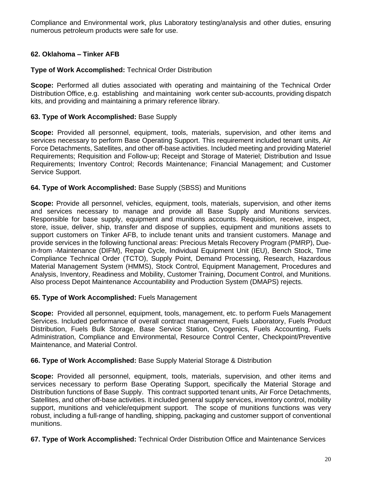Compliance and Environmental work, plus Laboratory testing/analysis and other duties, ensuring numerous petroleum products were safe for use.

# **62. Oklahoma – Tinker AFB**

## **Type of Work Accomplished:** Technical Order Distribution

**Scope:** Performed all duties associated with operating and maintaining of the Technical Order Distribution Office, e.g. establishing and maintaining work center sub-accounts, providing dispatch kits, and providing and maintaining a primary reference library.

#### **63. Type of Work Accomplished:** Base Supply

**Scope:** Provided all personnel, equipment, tools, materials, supervision, and other items and services necessary to perform Base Operating Support. This requirement included tenant units, Air Force Detachments, Satellites, and other off-base activities. Included meeting and providing Materiel Requirements; Requisition and Follow-up; Receipt and Storage of Materiel; Distribution and Issue Requirements; Inventory Control; Records Maintenance; Financial Management; and Customer Service Support.

#### **64. Type of Work Accomplished:** Base Supply (SBSS) and Munitions

**Scope:** Provide all personnel, vehicles, equipment, tools, materials, supervision, and other items and services necessary to manage and provide all Base Supply and Munitions services. Responsible for base supply, equipment and munitions accounts. Requisition, receive, inspect, store, issue, deliver, ship, transfer and dispose of supplies, equipment and munitions assets to support customers on Tinker AFB, to include tenant units and transient customers. Manage and provide services in the following functional areas: Precious Metals Recovery Program (PMRP), Duein-from -Maintenance (DIFM), Repair Cycle, Individual Equipment Unit (IEU), Bench Stock, Time Compliance Technical Order (TCTO), Supply Point, Demand Processing, Research, Hazardous Material Management System (HMMS), Stock Control, Equipment Management, Procedures and Analysis, Inventory, Readiness and Mobility, Customer Training, Document Control, and Munitions. Also process Depot Maintenance Accountability and Production System (DMAPS) rejects.

## **65. Type of Work Accomplished:** Fuels Management

**Scope:** Provided all personnel, equipment, tools, management, etc. to perform Fuels Management Services. Included performance of overall contract management, Fuels Laboratory, Fuels Product Distribution, Fuels Bulk Storage, Base Service Station, Cryogenics, Fuels Accounting, Fuels Administration, Compliance and Environmental, Resource Control Center, Checkpoint/Preventive Maintenance, and Material Control.

#### **66. Type of Work Accomplished:** Base Supply Material Storage & Distribution

**Scope:** Provided all personnel, equipment, tools, materials, supervision, and other items and services necessary to perform Base Operating Support, specifically the Material Storage and Distribution functions of Base Supply. This contract supported tenant units, Air Force Detachments, Satellites, and other off-base activities. It included general supply services, inventory control, mobility support, munitions and vehicle/equipment support. The scope of munitions functions was very robust, including a full-range of handling, shipping, packaging and customer support of conventional munitions.

**67. Type of Work Accomplished:** Technical Order Distribution Office and Maintenance Services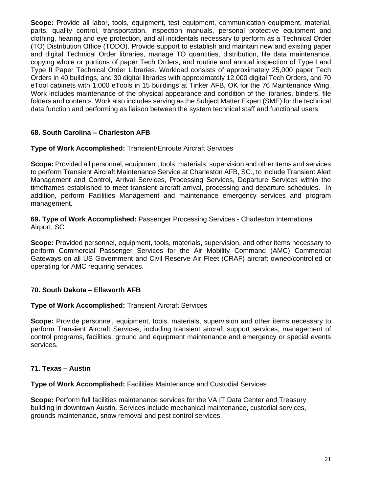**Scope:** Provide all labor, tools, equipment, test equipment, communication equipment, material, parts, quality control, transportation, inspection manuals, personal protective equipment and clothing, hearing and eye protection, and all incidentals necessary to perform as a Technical Order (TO) Distribution Office (TODO). Provide support to establish and maintain new and existing paper and digital Technical Order libraries, manage TO quantities, distribution, file data maintenance, copying whole or portions of paper Tech Orders, and routine and annual inspection of Type I and Type II Paper Technical Order Libraries. Workload consists of approximately 25,000 paper Tech Orders in 40 buildings, and 30 digital libraries with approximately 12,000 digital Tech Orders, and 70 eTool cabinets with 1,000 eTools in 15 buildings at Tinker AFB, OK for the 76 Maintenance Wing. Work includes maintenance of the physical appearance and condition of the libraries, binders, file folders and contents. Work also includes serving as the Subject Matter Expert (SME) for the technical data function and performing as liaison between the system technical staff and functional users.

# **68. South Carolina – Charleston AFB**

#### **Type of Work Accomplished:** Transient/Enroute Aircraft Services

**Scope:** Provided all personnel, equipment, tools, materials, supervision and other items and services to perform Transient Aircraft Maintenance Service at Charleston AFB, SC., to include Transient Alert Management and Control, Arrival Services, Processing Services, Departure Services within the timeframes established to meet transient aircraft arrival, processing and departure schedules. In addition, perform Facilities Management and maintenance emergency services and program management.

**69. Type of Work Accomplished:** Passenger Processing Services - Charleston International Airport, SC

**Scope:** Provided personnel, equipment, tools, materials, supervision, and other items necessary to perform Commercial Passenger Services for the Air Mobility Command (AMC) Commercial Gateways on all US Government and Civil Reserve Air Fleet (CRAF) aircraft owned/controlled or operating for AMC requiring services.

## **70. South Dakota – Ellsworth AFB**

#### **Type of Work Accomplished:** Transient Aircraft Services

**Scope:** Provide personnel, equipment, tools, materials, supervision and other items necessary to perform Transient Aircraft Services, including transient aircraft support services, management of control programs, facilities, ground and equipment maintenance and emergency or special events services.

#### **71. Texas – Austin**

#### **Type of Work Accomplished:** Facilities Maintenance and Custodial Services

**Scope:** Perform full facilities maintenance services for the VA IT Data Center and Treasury building in downtown Austin. Services include mechanical maintenance, custodial services, grounds maintenance, snow removal and pest control services.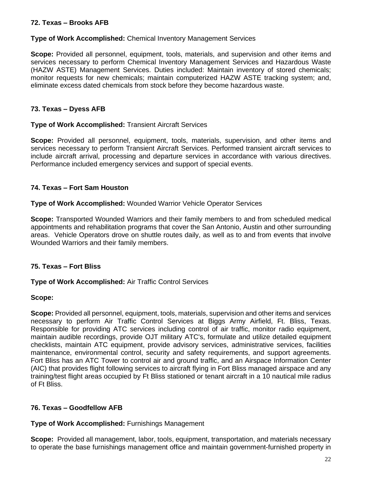# **72. Texas – Brooks AFB**

## **Type of Work Accomplished:** Chemical Inventory Management Services

**Scope:** Provided all personnel, equipment, tools, materials, and supervision and other items and services necessary to perform Chemical Inventory Management Services and Hazardous Waste (HAZW ASTE) Management Services. Duties included: Maintain inventory of stored chemicals; monitor requests for new chemicals; maintain computerized HAZW ASTE tracking system; and, eliminate excess dated chemicals from stock before they become hazardous waste.

## **73. Texas – Dyess AFB**

## **Type of Work Accomplished:** Transient Aircraft Services

**Scope:** Provided all personnel, equipment, tools, materials, supervision, and other items and services necessary to perform Transient Aircraft Services. Performed transient aircraft services to include aircraft arrival, processing and departure services in accordance with various directives. Performance included emergency services and support of special events.

## **74. Texas – Fort Sam Houston**

#### **Type of Work Accomplished:** Wounded Warrior Vehicle Operator Services

**Scope:** Transported Wounded Warriors and their family members to and from scheduled medical appointments and rehabilitation programs that cover the San Antonio, Austin and other surrounding areas. Vehicle Operators drove on shuttle routes daily, as well as to and from events that involve Wounded Warriors and their family members.

## **75. Texas – Fort Bliss**

## **Type of Work Accomplished:** Air Traffic Control Services

#### **Scope:**

**Scope:** Provided all personnel, equipment, tools, materials, supervision and other items and services necessary to perform Air Traffic Control Services at Biggs Army Airfield, Ft. Bliss, Texas. Responsible for providing ATC services including control of air traffic, monitor radio equipment, maintain audible recordings, provide OJT military ATC's, formulate and utilize detailed equipment checklists, maintain ATC equipment, provide advisory services, administrative services, facilities maintenance, environmental control, security and safety requirements, and support agreements. Fort Bliss has an ATC Tower to control air and ground traffic, and an Airspace Information Center (AIC) that provides flight following services to aircraft flying in Fort Bliss managed airspace and any training/test flight areas occupied by Ft Bliss stationed or tenant aircraft in a 10 nautical mile radius of Ft Bliss.

## **76. Texas – Goodfellow AFB**

## **Type of Work Accomplished:** Furnishings Management

**Scope:** Provided all management, labor, tools, equipment, transportation, and materials necessary to operate the base furnishings management office and maintain government-furnished property in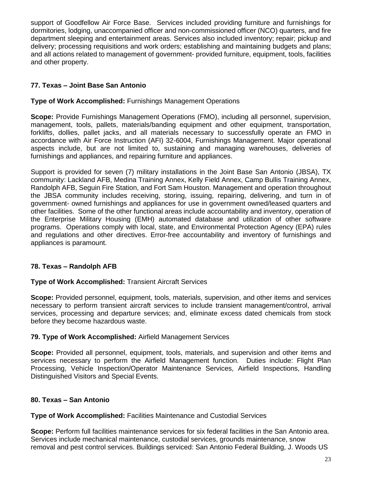support of Goodfellow Air Force Base. Services included providing furniture and furnishings for dormitories, lodging, unaccompanied officer and non-commissioned officer (NCO) quarters, and fire department sleeping and entertainment areas. Services also included inventory; repair; pickup and delivery; processing requisitions and work orders; establishing and maintaining budgets and plans; and all actions related to management of government- provided furniture, equipment, tools, facilities and other property.

# **77. Texas – Joint Base San Antonio**

# **Type of Work Accomplished:** Furnishings Management Operations

**Scope:** Provide Furnishings Management Operations (FMO), including all personnel, supervision, management, tools, pallets, materials/banding equipment and other equipment, transportation, forklifts, dollies, pallet jacks, and all materials necessary to successfully operate an FMO in accordance with Air Force Instruction (AFI) 32-6004, Furnishings Management. Major operational aspects include, but are not limited to, sustaining and managing warehouses, deliveries of furnishings and appliances, and repairing furniture and appliances.

Support is provided for seven (7) military installations in the Joint Base San Antonio (JBSA), TX community: Lackland AFB, Medina Training Annex, Kelly Field Annex, Camp Bullis Training Annex, Randolph AFB, Seguin Fire Station, and Fort Sam Houston. Management and operation throughout the JBSA community includes receiving, storing, issuing, repairing, delivering, and turn in of government- owned furnishings and appliances for use in government owned/leased quarters and other facilities. Some of the other functional areas include accountability and inventory, operation of the Enterprise Military Housing (EMH) automated database and utilization of other software programs. Operations comply with local, state, and Environmental Protection Agency (EPA) rules and regulations and other directives. Error-free accountability and inventory of furnishings and appliances is paramount.

# **78. Texas – Randolph AFB**

# **Type of Work Accomplished:** Transient Aircraft Services

**Scope:** Provided personnel, equipment, tools, materials, supervision, and other items and services necessary to perform transient aircraft services to include transient management/control, arrival services, processing and departure services; and, eliminate excess dated chemicals from stock before they become hazardous waste.

# **79. Type of Work Accomplished:** Airfield Management Services

**Scope:** Provided all personnel, equipment, tools, materials, and supervision and other items and services necessary to perform the Airfield Management function. Duties include: Flight Plan Processing, Vehicle Inspection/Operator Maintenance Services, Airfield Inspections, Handling Distinguished Visitors and Special Events.

# **80. Texas – San Antonio**

# **Type of Work Accomplished:** Facilities Maintenance and Custodial Services

**Scope:** Perform full facilities maintenance services for six federal facilities in the San Antonio area. Services include mechanical maintenance, custodial services, grounds maintenance, snow removal and pest control services. Buildings serviced: San Antonio Federal Building, J. Woods US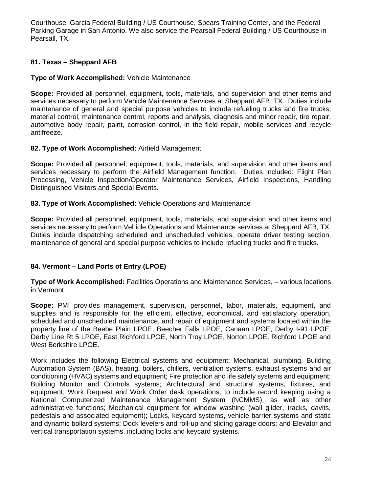Courthouse, Garcia Federal Building / US Courthouse, Spears Training Center, and the Federal Parking Garage in San Antonio. We also service the Pearsall Federal Building / US Courthouse in Pearsall, TX.

# **81. Texas – Sheppard AFB**

#### **Type of Work Accomplished:** Vehicle Maintenance

**Scope:** Provided all personnel, equipment, tools, materials, and supervision and other items and services necessary to perform Vehicle Maintenance Services at Sheppard AFB, TX. Duties include maintenance of general and special purpose vehicles to include refueling trucks and fire trucks; material control, maintenance control, reports and analysis, diagnosis and minor repair, tire repair, automotive body repair, paint, corrosion control, in the field repair, mobile services and recycle antifreeze.

## **82. Type of Work Accomplished:** Airfield Management

**Scope:** Provided all personnel, equipment, tools, materials, and supervision and other items and services necessary to perform the Airfield Management function. Duties included: Flight Plan Processing, Vehicle Inspection/Operator Maintenance Services, Airfield Inspections, Handling Distinguished Visitors and Special Events.

#### **83. Type of Work Accomplished:** Vehicle Operations and Maintenance

**Scope:** Provided all personnel, equipment, tools, materials, and supervision and other items and services necessary to perform Vehicle Operations and Maintenance services at Sheppard AFB, TX. Duties include dispatching scheduled and unscheduled vehicles, operate driver testing section, maintenance of general and special purpose vehicles to include refueling trucks and fire trucks.

## **84. Vermont – Land Ports of Entry (LPOE)**

**Type of Work Accomplished:** Facilities Operations and Maintenance Services, – various locations in Vermont

**Scope:** PMI provides management, supervision, personnel, labor, materials, equipment, and supplies and is responsible for the efficient, effective, economical, and satisfactory operation, scheduled and unscheduled maintenance, and repair of equipment and systems located within the property line of the Beebe Plain LPOE, Beecher Falls LPOE, Canaan LPOE, Derby I-91 LPOE, Derby Line Rt 5 LPOE, East Richford LPOE, North Troy LPOE, Norton LPOE, Richford LPOE and West Berkshire LPOE.

Work includes the following Electrical systems and equipment; Mechanical, plumbing, Building Automation System (BAS), heating, boilers, chillers, ventilation systems, exhaust systems and air conditioning (HVAC) systems and equipment; Fire protection and life safety systems and equipment; Building Monitor and Controls systems; Architectural and structural systems, fixtures, and equipment; Work Request and Work Order desk operations, to include record keeping using a National Computerized Maintenance Management System (NCMMS), as well as other administrative functions; Mechanical equipment for window washing (wall glider, tracks, davits, pedestals and associated equipment); Locks, keycard systems, vehicle barrier systems and static and dynamic bollard systems; Dock levelers and roll-up and sliding garage doors; and Elevator and vertical transportation systems, including locks and keycard systems.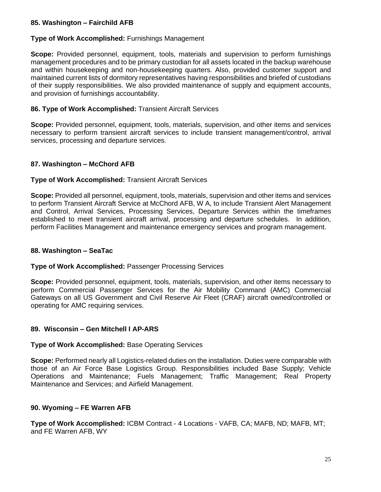## **85. Washington – Fairchild AFB**

## **Type of Work Accomplished:** Furnishings Management

**Scope:** Provided personnel, equipment, tools, materials and supervision to perform furnishings management procedures and to be primary custodian for all assets located in the backup warehouse and within housekeeping and non-housekeeping quarters. Also, provided customer support and maintained current lists of dormitory representatives having responsibilities and briefed of custodians of their supply responsibilities. We also provided maintenance of supply and equipment accounts, and provision of furnishings accountability.

#### **86. Type of Work Accomplished:** Transient Aircraft Services

**Scope:** Provided personnel, equipment, tools, materials, supervision, and other items and services necessary to perform transient aircraft services to include transient management/control, arrival services, processing and departure services.

#### **87. Washington – McChord AFB**

#### **Type of Work Accomplished:** Transient Aircraft Services

**Scope:** Provided all personnel, equipment, tools, materials, supervision and other items and services to perform Transient Aircraft Service at McChord AFB, W A, to include Transient Alert Management and Control, Arrival Services, Processing Services, Departure Services within the timeframes established to meet transient aircraft arrival, processing and departure schedules. In addition, perform Facilities Management and maintenance emergency services and program management.

## **88. Washington – SeaTac**

#### **Type of Work Accomplished:** Passenger Processing Services

**Scope:** Provided personnel, equipment, tools, materials, supervision, and other items necessary to perform Commercial Passenger Services for the Air Mobility Command (AMC) Commercial Gateways on all US Government and Civil Reserve Air Fleet (CRAF) aircraft owned/controlled or operating for AMC requiring services.

#### **89. Wisconsin – Gen Mitchell I AP-ARS**

#### **Type of Work Accomplished:** Base Operating Services

**Scope:** Performed nearly all Logistics-related duties on the installation. Duties were comparable with those of an Air Force Base Logistics Group. Responsibilities included Base Supply; Vehicle Operations and Maintenance; Fuels Management; Traffic Management; Real Property Maintenance and Services; and Airfield Management.

#### **90. Wyoming – FE Warren AFB**

**Type of Work Accomplished:** ICBM Contract - 4 Locations - VAFB, CA; MAFB, ND; MAFB, MT; and FE Warren AFB, WY